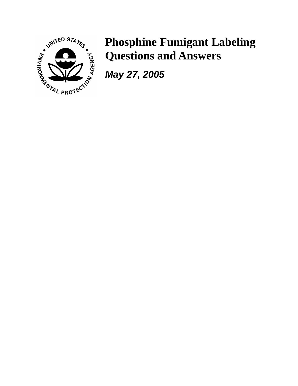

## **Phosphine Fumigant Labeling Questions and Answers**

*May 27, 2005*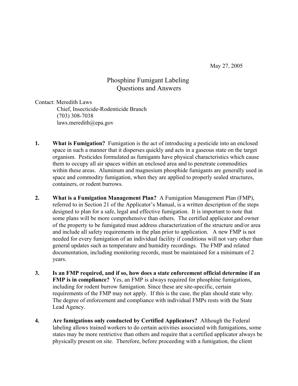May 27, 2005

## Phosphine Fumigant Labeling Questions and Answers

Contact: Meredith Laws Chief, Insecticide-Rodenticide Branch (703) 308-7038 laws.meredith@epa.gov

- **1. What is Fumigation?** Fumigation is the act of introducing a pesticide into an enclosed space in such a manner that it disperses quickly and acts in a gaseous state on the target organism. Pesticides formulated as fumigants have physical characteristics which cause them to occupy all air spaces within an enclosed area and to penetrate commodities within these areas. Aluminum and magnesium phosphide fumigants are generally used in space and commodity fumigation, when they are applied to properly sealed structures, containers, or rodent burrows.
- **2. What is a Fumigation Management Plan?** A Fumigation Management Plan (FMP), referred to in Section 21 of the Applicator's Manual, is a written description of the steps designed to plan for a safe, legal and effective fumigation. It is important to note that some plans will be more comprehensive than others. The certified applicator and owner of the property to be fumigated must address characterization of the structure and/or area and include all safety requirements in the plan prior to application. A new FMP is not needed for every fumigation of an individual facility if conditions will not vary other than general updates such as temperature and humidity recordings. The FMP and related documentation, including monitoring records, must be maintained for a minimum of 2 years.
- **3. Is an FMP required, and if so, how does a state enforcement official determine if an FMP is in compliance?** Yes, an FMP is always required for phosphine fumigations, including for rodent burrow fumigation. Since these are site-specific, certain requirements of the FMP may not apply. If this is the case, the plan should state why. The degree of enforcement and compliance with individual FMPs rests with the State Lead Agency.
- **4. Are fumigations only conducted by Certified Applicators?** Although the Federal labeling allows trained workers to do certain activities associated with fumigations, some states may be more restrictive than others and require that a certified applicator always be physically present on site. Therefore, before proceeding with a fumigation, the client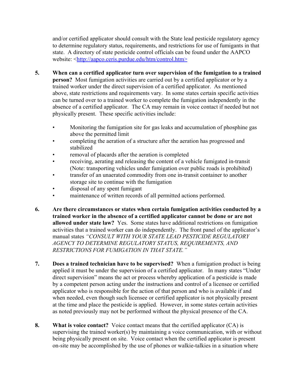and/or certified applicator should consult with the State lead pesticide regulatory agency to determine regulatory status, requirements, and restrictions for use of fumigants in that state. A directory of state pesticide control officials can be found under the AAPCO website: <http://aapco.ceris.purdue.edu/htm/control.htm>

- **5. When can a certified applicator turn over supervision of the fumigation to a trained person?** Most fumigation activities are carried out by a certified applicator or by a trained worker under the direct supervision of a certified applicator. As mentioned above, state restrictions and requirements vary. In some states certain specific activities can be turned over to a trained worker to complete the fumigation independently in the absence of a certified applicator. The CA may remain in voice contact if needed but not physically present. These specific activities include:
	- Monitoring the fumigation site for gas leaks and accumulation of phosphine gas above the permitted limit
	- completing the aeration of a structure after the aeration has progressed and stabilized
	- removal of placards after the aeration is completed
	- receiving, aerating and releasing the content of a vehicle fumigated in-transit (Note: transporting vehicles under fumigation over public roads is prohibited)
	- transfer of an unaerated commodity from one in-transit container to another storage site to continue with the fumigation
	- disposal of any spent fumigant
	- maintenance of written records of all permitted actions performed.
- **6. Are there circumstances or states when certain fumigation activities conducted by a trained worker in the absence of a certified applicator cannot be done or are not allowed under state law?** Yes. Some states have additional restrictions on fumigation activities that a trained worker can do independently. The front panel of the applicator's manual states *"CONSULT WITH YOUR STATE LEAD PESTICIDE REGULATORY AGENCY TO DETERMINE REGULATORY STATUS, REQUIREMENTS, AND RESTRICTIONS FOR FUMIGATION IN THAT STATE."*
- **7. Does a trained technician have to be supervised?** When a fumigation product is being applied it must be under the supervision of a certified applicator. In many states "Under direct supervision" means the act or process whereby application of a pesticide is made by a competent person acting under the instructions and control of a licensee or certified applicator who is responsible for the action of that person and who is available if and when needed, even though such licensee or certified applicator is not physically present at the time and place the pesticide is applied. However, in some states certain activities as noted previously may not be performed without the physical presence of the CA.
- **8. What is voice contact?** Voice contact means that the certified applicator (CA) is supervising the trained worker(s) by maintaining a voice communication, with or without being physically present on site. Voice contact when the certified applicator is present on-site may be accomplished by the use of phones or walkie-talkies in a situation where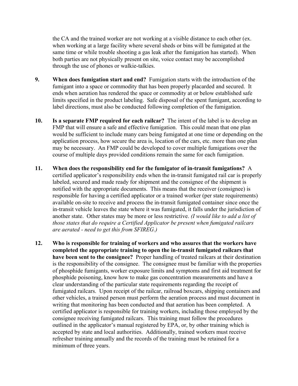the CA and the trained worker are not working at a visible distance to each other (ex. when working at a large facility where several sheds or bins will be fumigated at the same time or while trouble shooting a gas leak after the fumigation has started). When both parties are not physically present on site, voice contact may be accomplished through the use of phones or walkie-talkies.

- **9. When does fumigation start and end?** Fumigation starts with the introduction of the fumigant into a space or commodity that has been properly placarded and secured. It ends when aeration has rendered the space or commodity at or below established safe limits specified in the product labeling. Safe disposal of the spent fumigant, according to label directions, must also be conducted following completion of the fumigation.
- **10. Is a separate FMP required for each railcar?** The intent of the label is to develop an FMP that will ensure a safe and effective fumigation. This could mean that one plan would be sufficient to include many cars being fumigated at one time or depending on the application process, how secure the area is, location of the cars, etc. more than one plan may be necessary. An FMP could be developed to cover multiple fumigations over the course of multiple days provided conditions remain the same for each fumigation.
- **11. When does the responsibility end for the fumigator of in-transit fumigations?** A certified applicator's responsibility ends when the in-transit fumigated rail car is properly labeled, secured and made ready for shipment and the consignee of the shipment is notified with the appropriate documents. This means that the receiver (consignee) is responsible for having a certified applicator or a trained worker (per state requirements) available on-site to receive and process the in-transit fumigated container since once the in-transit vehicle leaves the state where it was fumigated, it falls under the jurisdiction of another state. Other states may be more or less restrictive. *(I would like to add a list of those states that do require a Certified Applicator be present when fumigated railcars are aerated - need to get this from SFIREG.)*
- **12. Who is responsible for training of workers and who assures that the workers have completed the appropriate training to open the in-transit fumigated railcars that have been sent to the consignee?** Proper handling of treated railcars at their destination is the responsibility of the consignee. The consignee must be familiar with the properties of phosphide fumigants, worker exposure limits and symptoms and first aid treatment for phosphide poisoning, know how to make gas concentration measurements and have a clear understanding of the particular state requirements regarding the receipt of fumigated railcars. Upon receipt of the railcar, railroad boxcars, shipping containers and other vehicles, a trained person must perform the aeration process and must document in writing that monitoring has been conducted and that aeration has been completed. A certified applicator is responsible for training workers, including those employed by the consignee receiving fumigated railcars. This training must follow the procedures outlined in the applicator's manual registered by EPA, or, by other training which is accepted by state and local authorities. Additionally, trained workers must receive refresher training annually and the records of the training must be retained for a minimum of three years.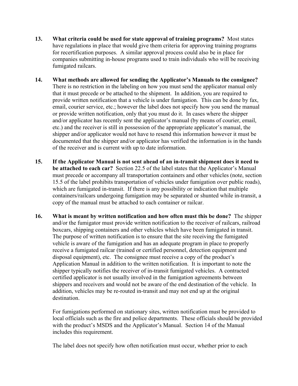- **13. What criteria could be used for state approval of training programs?** Most states have regulations in place that would give them criteria for approving training programs for recertification purposes. A similar approval process could also be in place for companies submitting in-house programs used to train individuals who will be receiving fumigated railcars.
- **14. What methods are allowed for sending the Applicator's Manuals to the consignee?**  There is no restriction in the labeling on how you must send the applicator manual only that it must precede or be attached to the shipment. In addition, you are required to provide written notification that a vehicle is under fumigation. This can be done by fax, email, courier service, etc.; however the label does not specify how you send the manual or provide written notification, only that you must do it. In cases where the shipper and/or applicator has recently sent the applicator's manual (by means of courier, email, etc.) and the receiver is still in possession of the appropriate applicator's manual, the shipper and/or applicator would not have to resend this information however it must be documented that the shipper and/or applicator has verified the information is in the hands of the receiver and is current with up to date information.
- **15. If the Applicator Manual is not sent ahead of an in-transit shipment does it need to be attached to each car?** Section 22.5 of the label states that the Applicator's Manual must precede or accompany all transportation containers and other vehicles (note, section 15.5 of the label prohibits transportation of vehicles under fumigation over public roads), which are fumigated in-transit. If there is any possibility or indication that multiple containers/railcars undergoing fumigation may be separated or shunted while in-transit, a copy of the manual must be attached to each container or railcar.
- **16. What is meant by written notification and how often must this be done?** The shipper and/or the fumigator must provide written notification to the receiver of railcars, railroad boxcars, shipping containers and other vehicles which have been fumigated in transit. The purpose of written notification is to ensure that the site receiving the fumigated vehicle is aware of the fumigation and has an adequate program in place to properly receive a fumigated railcar (trained or certified personnel, detection equipment and disposal equipment), etc. The consignee must receive a copy of the product's Application Manual in addition to the written notification. It is important to note the shipper typically notifies the receiver of in-transit fumigated vehicles. A contracted certified applicator is not usually involved in the fumigation agreements between shippers and receivers and would not be aware of the end destination of the vehicle. In addition, vehicles may be re-routed in-transit and may not end up at the original destination.

For fumigations performed on stationary sites, written notification must be provided to local officials such as the fire and police departments. These officials should be provided with the product's MSDS and the Applicator's Manual. Section 14 of the Manual includes this requirement.

The label does not specify how often notification must occur, whether prior to each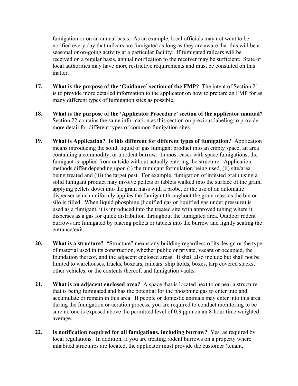fumigation or on an annual basis. As an example, local officials may not want to be notified every day that railcars are fumigated as long as they are aware that this will be a seasonal or on-going activity at a particular facility. If fumigated railcars will be received on a regular basis, annual notification to the receiver may be sufficient. State or local authorities may have more restrictive requirements and must be consulted on this matter.

- **17. What is the purpose of the 'Guidance' section of the FMP?** The intent of Section 21 is to provide more detailed information to the applicator on how to prepare an FMP for as many different types of fumigation sites as possible.
- **18. What is the purpose of the 'Applicator Procedure' section of the applicator manual?**  Section 22 contains the same information as this section on previous labeling to provide more detail for different types of common fumigation sites.
- **19. What is Application? Is this different for different types of fumigation?** Application means introducing the solid, liquid or gas fumigant product into an empty space, an area containing a commodity, or a rodent burrow. In most cases with space fumigations, the fumigant is applied from outside without actually entering the structure. Application methods differ depending upon (i) the fumigant formulation being used, (ii) site/area being treated and (iii) the target pest. For example, fumigation of infested grain using a solid fumigant product may involve pellets or tablets walked into the surface of the grain, applying pellets down into the grain mass with a probe, or the use of an automatic dispenser which uniformly applies the fumigant throughout the grain mass as the bin or silo is filled. When liquid phosphine (liquified gas or liquified gas under pressure) is used as a fumigant, it is introduced into the treated site with approved tubing where it disperses as a gas for quick distribution throughout the fumigated area. Outdoor rodent burrows are fumigated by placing pellets or tablets into the burrow and lightly sealing the entrance/exit.
- **20. What is a structure?** "Structure" means any building regardless of its design or the type of material used in its construction, whether public or private, vacant or occupied, the foundation thereof, and the adjacent enclosed areas. It shall also include but shall not be limited to warehouses, trucks, boxcars, railcars, ship holds, boxes, tarp covered stacks, other vehicles, or the contents thereof, and fumigation vaults.
- **21. What is an adjacent enclosed area?** A space that is located next to or near a structure that is being fumigated and has the potential for the phosphine gas to enter into and accumulate or remain in this area. If people or domestic animals may enter into this area during the fumigation or aeration process, you are required to conduct monitoring to be sure no one is exposed above the permitted level of 0.3 ppm on an 8-hour time weighted average.
- **22. Is notification required for all fumigations, including burrow?** Yes, as required by local regulations. In addition, if you are treating rodent burrows on a property where inhabited structures are located, the applicator must provide the customer (tenant,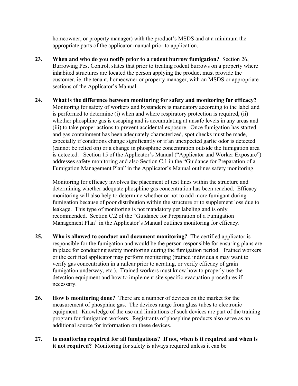homeowner, or property manager) with the product's MSDS and at a minimum the appropriate parts of the applicator manual prior to application.

- **23. When and who do you notify prior to a rodent burrow fumigation?** Section 26, Burrowing Pest Control, states that prior to treating rodent burrows on a property where inhabited structures are located the person applying the product must provide the customer, ie. the tenant, homeowner or property manager, with an MSDS or appropriate sections of the Applicator's Manual.
- **24. What is the difference between monitoring for safety and monitoring for efficacy?** Monitoring for safety of workers and bystanders is mandatory according to the label and is performed to determine (i) when and where respiratory protection is required, (ii) whether phosphine gas is escaping and is accumulating at unsafe levels in any areas and (iii) to take proper actions to prevent accidental exposure. Once fumigation has started and gas containment has been adequately characterized, spot checks must be made, especially if conditions change significantly or if an unexpected garlic odor is detected (cannot be relied on) or a change in phosphine concentration outside the fumigation area is detected. Section 15 of the Applicator's Manual ("Applicator and Worker Exposure") addresses safety monitoring and also Section C.1 in the "Guidance for Preparation of a Fumigation Management Plan" in the Applicator's Manual outlines safety monitoring.

Monitoring for efficacy involves the placement of test lines within the structure and determining whether adequate phosphine gas concentration has been reached. Efficacy monitoring will also help to determine whether or not to add more fumigant during fumigation because of poor distribution within the structure or to supplement loss due to leakage. This type of monitoring is not mandatory per labeling and is only recommended. Section C.2 of the "Guidance for Preparation of a Fumigation Management Plan" in the Applicator's Manual outlines monitoring for efficacy.

- **25. Who is allowed to conduct and document monitoring?** The certified applicator is responsible for the fumigation and would be the person responsible for ensuring plans are in place for conducting safety monitoring during the fumigation period. Trained workers or the certified applicator may perform monitoring (trained individuals may want to verify gas concentration in a railcar prior to aerating, or verify efficacy of grain fumigation underway, etc.). Trained workers must know how to properly use the detection equipment and how to implement site specific evacuation procedures if necessary.
- **26. How is monitoring done?** There are a number of devices on the market for the measurement of phosphine gas. The devices range from glass tubes to electronic equipment. Knowledge of the use and limitations of such devices are part of the training program for fumigation workers. Registrants of phosphine products also serve as an additional source for information on these devices.
- **27. Is monitoring required for all fumigations? If not, when is it required and when is it not required?** Monitoring for safety is always required unless it can be